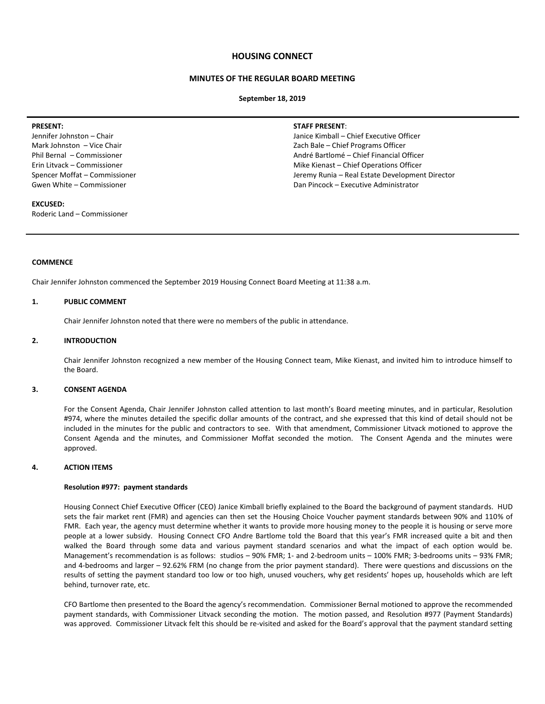# **HOUSING CONNECT**

# **MINUTES OF THE REGULAR BOARD MEETING**

#### **September 18, 2019**

#### **PRESENT:**

Jennifer Johnston – Chair Mark Johnston – Vice Chair Phil Bernal – Commissioner Erin Litvack – Commissioner Spencer Moffat – Commissioner Gwen White – Commissioner

## **EXCUSED:**

Roderic Land – Commissioner

#### **STAFF PRESENT**:

Janice Kimball – Chief Executive Officer Zach Bale – Chief Programs Officer André Bartlomé – Chief Financial Officer Mike Kienast – Chief Operations Officer Jeremy Runia – Real Estate Development Director Dan Pincock – Executive Administrator

## **COMMENCE**

Chair Jennifer Johnston commenced the September 2019 Housing Connect Board Meeting at 11:38 a.m.

#### **1. PUBLIC COMMENT**

Chair Jennifer Johnston noted that there were no members of the public in attendance.

# **2. INTRODUCTION**

Chair Jennifer Johnston recognized a new member of the Housing Connect team, Mike Kienast, and invited him to introduce himself to the Board.

#### **3. CONSENT AGENDA**

For the Consent Agenda, Chair Jennifer Johnston called attention to last month's Board meeting minutes, and in particular, Resolution #974, where the minutes detailed the specific dollar amounts of the contract, and she expressed that this kind of detail should not be included in the minutes for the public and contractors to see. With that amendment, Commissioner Litvack motioned to approve the Consent Agenda and the minutes, and Commissioner Moffat seconded the motion. The Consent Agenda and the minutes were approved.

#### **4. ACTION ITEMS**

#### **Resolution #977: payment standards**

Housing Connect Chief Executive Officer (CEO) Janice Kimball briefly explained to the Board the background of payment standards. HUD sets the fair market rent (FMR) and agencies can then set the Housing Choice Voucher payment standards between 90% and 110% of FMR. Each year, the agency must determine whether it wants to provide more housing money to the people it is housing or serve more people at a lower subsidy. Housing Connect CFO Andre Bartlome told the Board that this year's FMR increased quite a bit and then walked the Board through some data and various payment standard scenarios and what the impact of each option would be. Management's recommendation is as follows: studios – 90% FMR; 1- and 2-bedroom units – 100% FMR; 3-bedrooms units – 93% FMR; and 4-bedrooms and larger – 92.62% FRM (no change from the prior payment standard). There were questions and discussions on the results of setting the payment standard too low or too high, unused vouchers, why get residents' hopes up, households which are left behind, turnover rate, etc.

CFO Bartlome then presented to the Board the agency's recommendation. Commissioner Bernal motioned to approve the recommended payment standards, with Commissioner Litvack seconding the motion. The motion passed, and Resolution #977 (Payment Standards) was approved. Commissioner Litvack felt this should be re-visited and asked for the Board's approval that the payment standard setting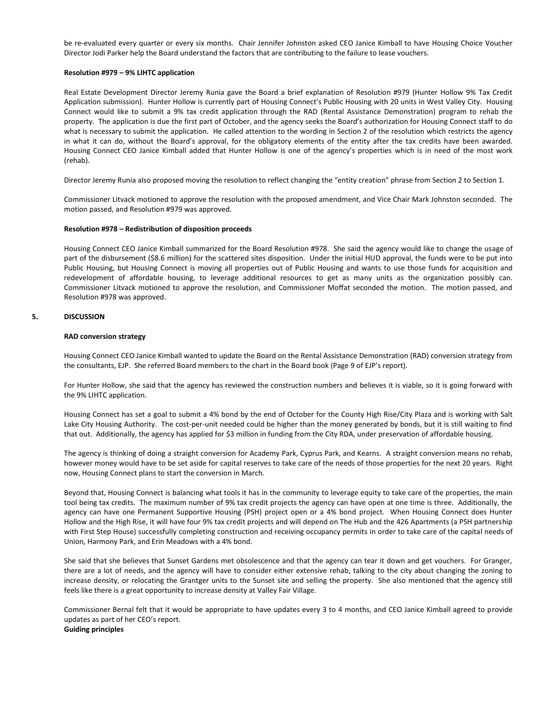be re-evaluated every quarter or every six months. Chair Jennifer Johnston asked CEO Janice Kimball to have Housing Choice Voucher Director Jodi Parker help the Board understand the factors that are contributing to the failure to lease vouchers.

#### **Resolution #979 – 9% LIHTC application**

Real Estate Development Director Jeremy Runia gave the Board a brief explanation of Resolution #979 (Hunter Hollow 9% Tax Credit Application submission). Hunter Hollow is currently part of Housing Connect's Public Housing with 20 units in West Valley City. Housing Connect would like to submit a 9% tax credit application through the RAD (Rental Assistance Demonstration) program to rehab the property. The application is due the first part of October, and the agency seeks the Board's authorization for Housing Connect staff to do what is necessary to submit the application. He called attention to the wording in Section 2 of the resolution which restricts the agency in what it can do, without the Board's approval, for the obligatory elements of the entity after the tax credits have been awarded. Housing Connect CEO Janice Kimball added that Hunter Hollow is one of the agency's properties which is in need of the most work (rehab).

Director Jeremy Runia also proposed moving the resolution to reflect changing the "entity creation" phrase from Section 2 to Section 1.

Commissioner Litvack motioned to approve the resolution with the proposed amendment, and Vice Chair Mark Johnston seconded. The motion passed, and Resolution #979 was approved.

#### **Resolution #978 – Redistribution of disposition proceeds**

Housing Connect CEO Janice Kimball summarized for the Board Resolution #978. She said the agency would like to change the usage of part of the disbursement (\$8.6 million) for the scattered sites disposition. Under the initial HUD approval, the funds were to be put into Public Housing, but Housing Connect is moving all properties out of Public Housing and wants to use those funds for acquisition and redevelopment of affordable housing, to leverage additional resources to get as many units as the organization possibly can. Commissioner Litvack motioned to approve the resolution, and Commissioner Moffat seconded the motion. The motion passed, and Resolution #978 was approved.

## **5. DISCUSSION**

#### **RAD conversion strategy**

Housing Connect CEO Janice Kimball wanted to update the Board on the Rental Assistance Demonstration (RAD) conversion strategy from the consultants, EJP. She referred Board members to the chart in the Board book (Page 9 of EJP's report).

For Hunter Hollow, she said that the agency has reviewed the construction numbers and believes it is viable, so it is going forward with the 9% LIHTC application.

Housing Connect has set a goal to submit a 4% bond by the end of October for the County High Rise/City Plaza and is working with Salt Lake City Housing Authority. The cost-per-unit needed could be higher than the money generated by bonds, but it is still waiting to find that out. Additionally, the agency has applied for \$3 million in funding from the City RDA, under preservation of affordable housing.

The agency is thinking of doing a straight conversion for Academy Park, Cyprus Park, and Kearns. A straight conversion means no rehab, however money would have to be set aside for capital reserves to take care of the needs of those properties for the next 20 years. Right now, Housing Connect plans to start the conversion in March.

Beyond that, Housing Connect is balancing what tools it has in the community to leverage equity to take care of the properties, the main tool being tax credits. The maximum number of 9% tax credit projects the agency can have open at one time is three. Additionally, the agency can have one Permanent Supportive Housing (PSH) project open or a 4% bond project. When Housing Connect does Hunter Hollow and the High Rise, it will have four 9% tax credit projects and will depend on The Hub and the 426 Apartments (a PSH partnership with First Step House) successfully completing construction and receiving occupancy permits in order to take care of the capital needs of Union, Harmony Park, and Erin Meadows with a 4% bond.

She said that she believes that Sunset Gardens met obsolescence and that the agency can tear it down and get vouchers. For Granger, there are a lot of needs, and the agency will have to consider either extensive rehab, talking to the city about changing the zoning to increase density, or relocating the Grantger units to the Sunset site and selling the property. She also mentioned that the agency still feels like there is a great opportunity to increase density at Valley Fair Village.

Commissioner Bernal felt that it would be appropriate to have updates every 3 to 4 months, and CEO Janice Kimball agreed to provide updates as part of her CEO's report. **Guiding principles**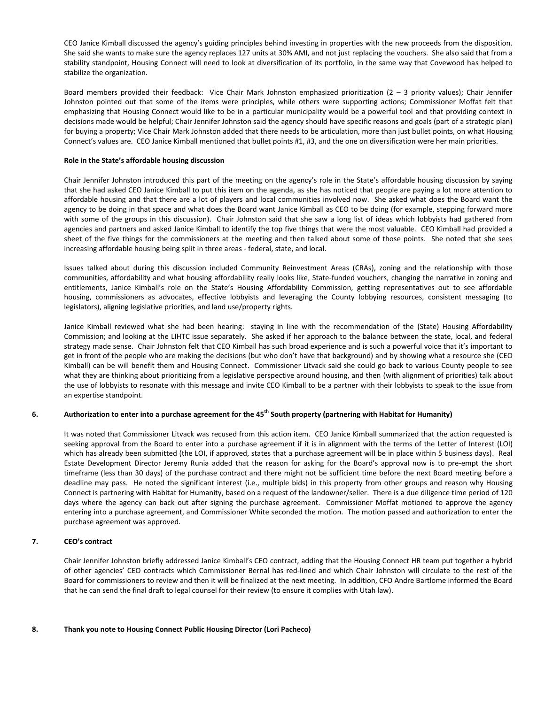CEO Janice Kimball discussed the agency's guiding principles behind investing in properties with the new proceeds from the disposition. She said she wants to make sure the agency replaces 127 units at 30% AMI, and not just replacing the vouchers. She also said that from a stability standpoint, Housing Connect will need to look at diversification of its portfolio, in the same way that Covewood has helped to stabilize the organization.

Board members provided their feedback: Vice Chair Mark Johnston emphasized prioritization  $(2 - 3$  priority values); Chair Jennifer Johnston pointed out that some of the items were principles, while others were supporting actions; Commissioner Moffat felt that emphasizing that Housing Connect would like to be in a particular municipality would be a powerful tool and that providing context in decisions made would be helpful; Chair Jennifer Johnston said the agency should have specific reasons and goals (part of a strategic plan) for buying a property; Vice Chair Mark Johnston added that there needs to be articulation, more than just bullet points, on what Housing Connect's values are. CEO Janice Kimball mentioned that bullet points #1, #3, and the one on diversification were her main priorities.

## **Role in the State's affordable housing discussion**

Chair Jennifer Johnston introduced this part of the meeting on the agency's role in the State's affordable housing discussion by saying that she had asked CEO Janice Kimball to put this item on the agenda, as she has noticed that people are paying a lot more attention to affordable housing and that there are a lot of players and local communities involved now. She asked what does the Board want the agency to be doing in that space and what does the Board want Janice Kimball as CEO to be doing (for example, stepping forward more with some of the groups in this discussion). Chair Johnston said that she saw a long list of ideas which lobbyists had gathered from agencies and partners and asked Janice Kimball to identify the top five things that were the most valuable. CEO Kimball had provided a sheet of the five things for the commissioners at the meeting and then talked about some of those points. She noted that she sees increasing affordable housing being split in three areas - federal, state, and local.

Issues talked about during this discussion included Community Reinvestment Areas (CRAs), zoning and the relationship with those communities, affordability and what housing affordability really looks like, State-funded vouchers, changing the narrative in zoning and entitlements, Janice Kimball's role on the State's Housing Affordability Commission, getting representatives out to see affordable housing, commissioners as advocates, effective lobbyists and leveraging the County lobbying resources, consistent messaging (to legislators), aligning legislative priorities, and land use/property rights.

Janice Kimball reviewed what she had been hearing: staying in line with the recommendation of the (State) Housing Affordability Commission; and looking at the LIHTC issue separately. She asked if her approach to the balance between the state, local, and federal strategy made sense. Chair Johnston felt that CEO Kimball has such broad experience and is such a powerful voice that it's important to get in front of the people who are making the decisions (but who don't have that background) and by showing what a resource she (CEO Kimball) can be will benefit them and Housing Connect. Commissioner Litvack said she could go back to various County people to see what they are thinking about prioritizing from a legislative perspective around housing, and then (with alignment of priorities) talk about the use of lobbyists to resonate with this message and invite CEO Kimball to be a partner with their lobbyists to speak to the issue from an expertise standpoint.

# **6. Authorization to enter into a purchase agreement for the 45th South property (partnering with Habitat for Humanity)**

It was noted that Commissioner Litvack was recused from this action item. CEO Janice Kimball summarized that the action requested is seeking approval from the Board to enter into a purchase agreement if it is in alignment with the terms of the Letter of Interest (LOI) which has already been submitted (the LOI, if approved, states that a purchase agreement will be in place within 5 business days). Real Estate Development Director Jeremy Runia added that the reason for asking for the Board's approval now is to pre-empt the short timeframe (less than 30 days) of the purchase contract and there might not be sufficient time before the next Board meeting before a deadline may pass. He noted the significant interest (i.e., multiple bids) in this property from other groups and reason why Housing Connect is partnering with Habitat for Humanity, based on a request of the landowner/seller. There is a due diligence time period of 120 days where the agency can back out after signing the purchase agreement. Commissioner Moffat motioned to approve the agency entering into a purchase agreement, and Commissioner White seconded the motion. The motion passed and authorization to enter the purchase agreement was approved.

# **7. CEO's contract**

Chair Jennifer Johnston briefly addressed Janice Kimball's CEO contract, adding that the Housing Connect HR team put together a hybrid of other agencies' CEO contracts which Commissioner Bernal has red-lined and which Chair Johnston will circulate to the rest of the Board for commissioners to review and then it will be finalized at the next meeting. In addition, CFO Andre Bartlome informed the Board that he can send the final draft to legal counsel for their review (to ensure it complies with Utah law).

# **8. Thank you note to Housing Connect Public Housing Director (Lori Pacheco)**